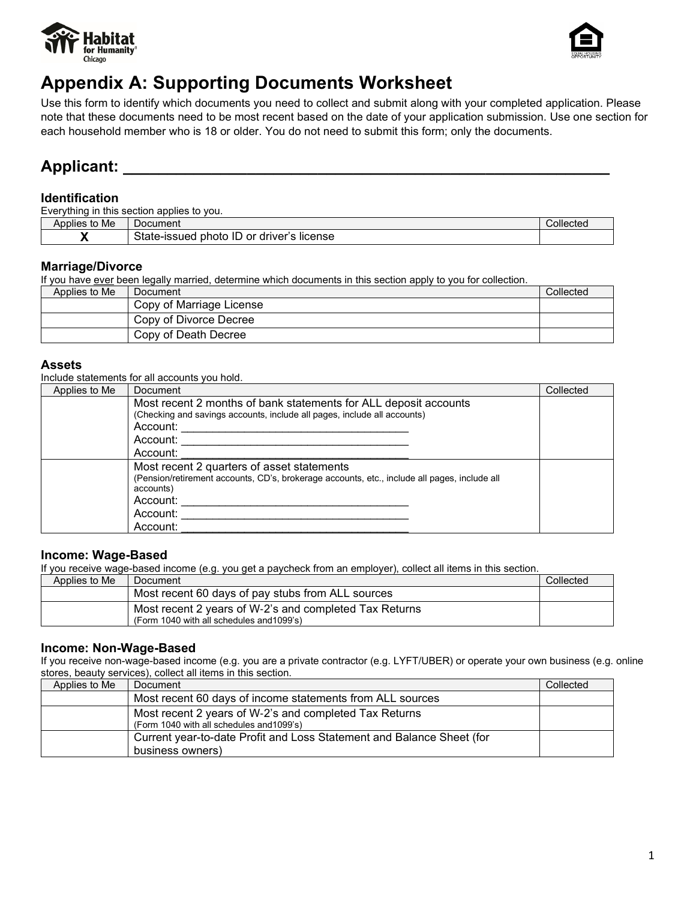



# **Appendix A: Supporting Documents Worksheet**

Use this form to identify which documents you need to collect and submit along with your completed application. Please note that these documents need to be most recent based on the date of your application submission. Use one section for each household member who is 18 or older. You do not need to submit this form; only the documents.

## Applicant:

## **Identification**

Everything in this section applies to you.

| $\cdots$<br>Applies<br>to Me | ⊃ocument                                                                                   | Collected |
|------------------------------|--------------------------------------------------------------------------------------------|-----------|
|                              | $\mathcal{L}_{\mathbf{A}}$<br>license<br>driver's<br>-issued<br>photo<br>or<br>oldle<br>பட |           |

### **Marriage/Divorce**

If you have ever been legally married, determine which documents in this section apply to you for collection.

| Applies to Me | <b>I</b> Document        | Collected |
|---------------|--------------------------|-----------|
|               | Copy of Marriage License |           |
|               | Copy of Divorce Decree   |           |
|               | Copy of Death Decree     |           |

## **Assets**

Include statements for all accounts you hold.

| Applies to Me | Document                                                                                                                                     | Collected |
|---------------|----------------------------------------------------------------------------------------------------------------------------------------------|-----------|
|               | Most recent 2 months of bank statements for ALL deposit accounts<br>(Checking and savings accounts, include all pages, include all accounts) |           |
|               | Account:                                                                                                                                     |           |
|               | Account:                                                                                                                                     |           |
|               | Account:                                                                                                                                     |           |
|               | Most recent 2 quarters of asset statements                                                                                                   |           |
|               | (Pension/retirement accounts, CD's, brokerage accounts, etc., include all pages, include all<br>accounts)                                    |           |
|               | Account:                                                                                                                                     |           |
|               | Account:                                                                                                                                     |           |
|               | Account:                                                                                                                                     |           |

## **Income: Wage-Based**

If you receive wage-based income (e.g. you get a paycheck from an employer), collect all items in this section.

| Applies to Me | Document                                                                                            | Collected |
|---------------|-----------------------------------------------------------------------------------------------------|-----------|
|               | Most recent 60 days of pay stubs from ALL sources                                                   |           |
|               | Most recent 2 years of W-2's and completed Tax Returns<br>(Form 1040 with all schedules and 1099's) |           |

## **Income: Non-Wage-Based**

If you receive non-wage-based income (e.g. you are a private contractor (e.g. LYFT/UBER) or operate your own business (e.g. online stores, beauty services), collect all items in this section.

| Applies to Me | Document                                                                                            | Collected |
|---------------|-----------------------------------------------------------------------------------------------------|-----------|
|               | Most recent 60 days of income statements from ALL sources                                           |           |
|               | Most recent 2 years of W-2's and completed Tax Returns<br>(Form 1040 with all schedules and 1099's) |           |
|               | Current year-to-date Profit and Loss Statement and Balance Sheet (for<br>business owners)           |           |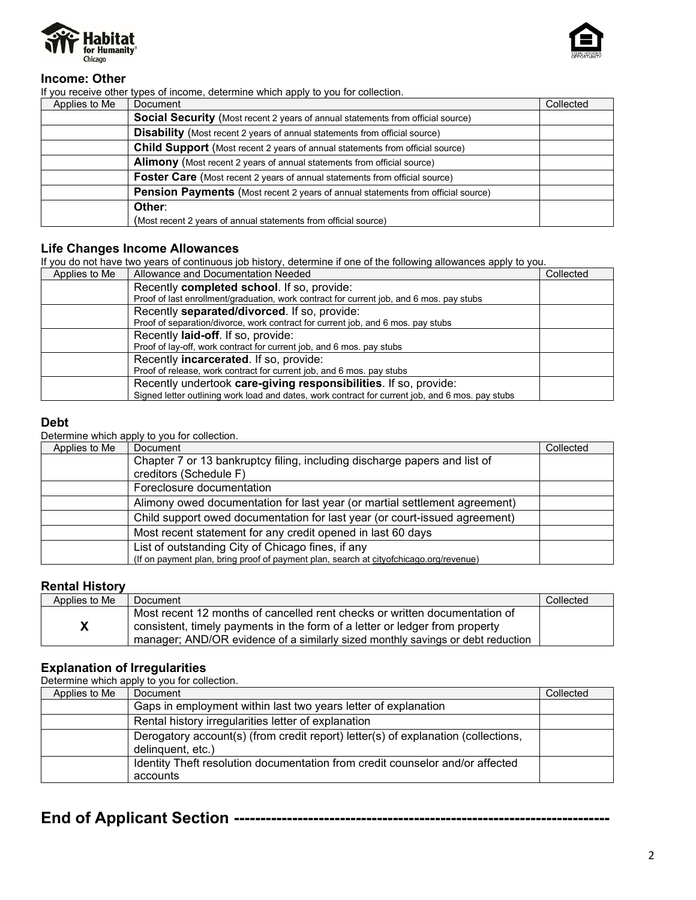



## **Income: Other**

If you receive other types of income, determine which apply to you for collection.

| Applies to Me | Document                                                                                | Collected |
|---------------|-----------------------------------------------------------------------------------------|-----------|
|               | <b>Social Security</b> (Most recent 2 years of annual statements from official source)  |           |
|               | <b>Disability</b> (Most recent 2 years of annual statements from official source)       |           |
|               | <b>Child Support</b> (Most recent 2 years of annual statements from official source)    |           |
|               | <b>Alimony</b> (Most recent 2 years of annual statements from official source)          |           |
|               | <b>Foster Care</b> (Most recent 2 years of annual statements from official source)      |           |
|               | <b>Pension Payments</b> (Most recent 2 years of annual statements from official source) |           |
|               | Other:                                                                                  |           |
|               | (Most recent 2 years of annual statements from official source)                         |           |

## **Life Changes Income Allowances**

If you do not have two years of continuous job history, determine if one of the following allowances apply to you.

| Applies to Me | Allowance and Documentation Needed                                                               | Collected |
|---------------|--------------------------------------------------------------------------------------------------|-----------|
|               | Recently completed school. If so, provide:                                                       |           |
|               | Proof of last enrollment/graduation, work contract for current job, and 6 mos. pay stubs         |           |
|               | Recently <b>separated/divorced</b> . If so, provide:                                             |           |
|               | Proof of separation/divorce, work contract for current job, and 6 mos. pay stubs                 |           |
|               | Recently laid-off. If so, provide:                                                               |           |
|               | Proof of lay-off, work contract for current job, and 6 mos. pay stubs                            |           |
|               | Recently <b>incarcerated</b> . If so, provide:                                                   |           |
|               | Proof of release, work contract for current job, and 6 mos. pay stubs                            |           |
|               | Recently undertook care-giving responsibilities. If so, provide:                                 |           |
|               | Signed letter outlining work load and dates, work contract for current job, and 6 mos. pay stubs |           |

#### **Debt**

Determine which apply to you for collection.

| Applies to Me | Document                                                                               | Collected |
|---------------|----------------------------------------------------------------------------------------|-----------|
|               | Chapter 7 or 13 bankruptcy filing, including discharge papers and list of              |           |
|               | creditors (Schedule F)                                                                 |           |
|               | Foreclosure documentation                                                              |           |
|               | Alimony owed documentation for last year (or martial settlement agreement)             |           |
|               | Child support owed documentation for last year (or court-issued agreement)             |           |
|               | Most recent statement for any credit opened in last 60 days                            |           |
|               | List of outstanding City of Chicago fines, if any                                      |           |
|               | (If on payment plan, bring proof of payment plan, search at cityofchicago.org/revenue) |           |

### **Rental History**

| Applies to Me | Document                                                                                                                                                                                                                                     | Collected |
|---------------|----------------------------------------------------------------------------------------------------------------------------------------------------------------------------------------------------------------------------------------------|-----------|
|               | Most recent 12 months of cancelled rent checks or written documentation of<br>consistent, timely payments in the form of a letter or ledger from property<br>manager; AND/OR evidence of a similarly sized monthly savings or debt reduction |           |

## **Explanation of Irregularities**

Determine which apply to you for collection.

| Applies to Me | Document                                                                                               | Collected |
|---------------|--------------------------------------------------------------------------------------------------------|-----------|
|               | Gaps in employment within last two years letter of explanation                                         |           |
|               | Rental history irregularities letter of explanation                                                    |           |
|               | Derogatory account(s) (from credit report) letter(s) of explanation (collections,<br>delinquent, etc.) |           |
|               | Identity Theft resolution documentation from credit counselor and/or affected<br>accounts              |           |

## **End of Applicant Section -----------------------------------------------------------------------**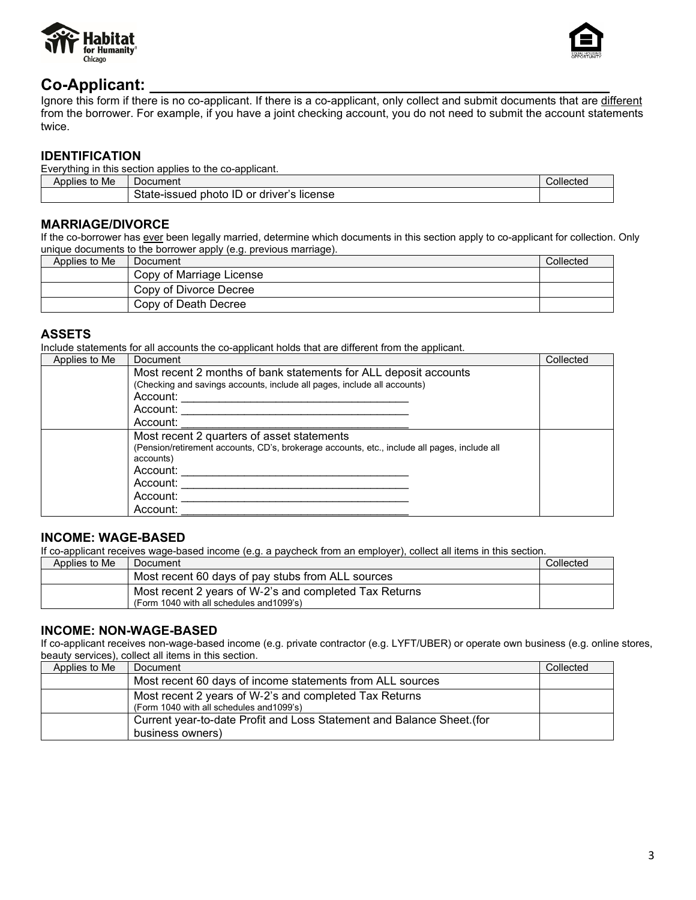



## Co-Applicant:

Ignore this form if there is no co-applicant. If there is a co-applicant, only collect and submit documents that are different from the borrower. For example, if you have a joint checking account, you do not need to submit the account statements twice.

## **IDENTIFICATION**

| Everything in this section applies to the co-applicant. |                                           |           |
|---------------------------------------------------------|-------------------------------------------|-----------|
| Applies to Me                                           | Document                                  | Collected |
|                                                         | State-issued photo ID or driver's license |           |

## **MARRIAGE/DIVORCE**

If the co-borrower has ever been legally married, determine which documents in this section apply to co-applicant for collection. Only unique documents to the borrower apply (e.g. previous marriage).

| Applies to Me | Document                 | Collected |
|---------------|--------------------------|-----------|
|               | Copy of Marriage License |           |
|               | Copy of Divorce Decree   |           |
|               | Copy of Death Decree     |           |

## **ASSETS**

Include statements for all accounts the co-applicant holds that are different from the applicant.

| Applies to Me | Document                                                                                                                                                            | Collected |
|---------------|---------------------------------------------------------------------------------------------------------------------------------------------------------------------|-----------|
|               | Most recent 2 months of bank statements for ALL deposit accounts<br>(Checking and savings accounts, include all pages, include all accounts)                        |           |
|               | Account:                                                                                                                                                            |           |
|               | Account:                                                                                                                                                            |           |
|               | Account:                                                                                                                                                            |           |
|               | Most recent 2 quarters of asset statements<br>(Pension/retirement accounts, CD's, brokerage accounts, etc., include all pages, include all<br>accounts)<br>Account: |           |
|               | Account:                                                                                                                                                            |           |
|               | Account:                                                                                                                                                            |           |
|               | Account:                                                                                                                                                            |           |

## **INCOME: WAGE-BASED**

If co-applicant receives wage-based income (e.g. a paycheck from an employer), collect all items in this section.

| Applies to Me | Document                                                                                            | Collected |
|---------------|-----------------------------------------------------------------------------------------------------|-----------|
|               | Most recent 60 days of pay stubs from ALL sources                                                   |           |
|               | Most recent 2 years of W-2's and completed Tax Returns<br>(Form 1040 with all schedules and 1099's) |           |

## **INCOME: NON-WAGE-BASED**

If co-applicant receives non-wage-based income (e.g. private contractor (e.g. LYFT/UBER) or operate own business (e.g. online stores, beauty services), collect all items in this section.

| Applies to Me | Document                                                                                            | Collected |
|---------------|-----------------------------------------------------------------------------------------------------|-----------|
|               | Most recent 60 days of income statements from ALL sources                                           |           |
|               | Most recent 2 years of W-2's and completed Tax Returns<br>(Form 1040 with all schedules and 1099's) |           |
|               | Current year-to-date Profit and Loss Statement and Balance Sheet. (for<br>business owners)          |           |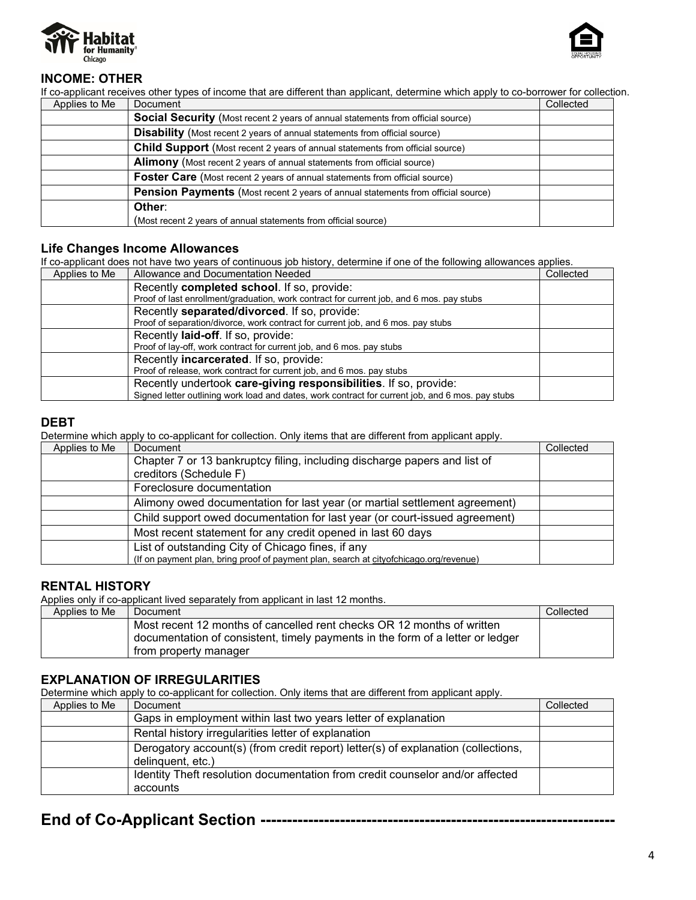



## **INCOME: OTHER**

If co-applicant receives other types of income that are different than applicant, determine which apply to co-borrower for collection. Applies to Me | Document Collected Collected Collected Collected Collected Collected Collected Collected Colle

| Applies to Me | Document                                                                                | Collected |
|---------------|-----------------------------------------------------------------------------------------|-----------|
|               | <b>Social Security</b> (Most recent 2 years of annual statements from official source)  |           |
|               | <b>Disability</b> (Most recent 2 years of annual statements from official source)       |           |
|               | <b>Child Support</b> (Most recent 2 years of annual statements from official source)    |           |
|               | <b>Alimony</b> (Most recent 2 years of annual statements from official source)          |           |
|               | <b>Foster Care</b> (Most recent 2 years of annual statements from official source)      |           |
|               | <b>Pension Payments</b> (Most recent 2 years of annual statements from official source) |           |
|               | Other:                                                                                  |           |
|               | (Most recent 2 years of annual statements from official source)                         |           |

### **Life Changes Income Allowances**

If co-applicant does not have two years of continuous job history, determine if one of the following allowances applies.

| Applies to Me | Allowance and Documentation Needed                                                               | Collected |
|---------------|--------------------------------------------------------------------------------------------------|-----------|
|               | Recently completed school. If so, provide:                                                       |           |
|               | Proof of last enrollment/graduation, work contract for current job, and 6 mos. pay stubs         |           |
|               | Recently separated/divorced. If so, provide:                                                     |           |
|               | Proof of separation/divorce, work contract for current job, and 6 mos. pay stubs                 |           |
|               | Recently laid-off. If so, provide:                                                               |           |
|               | Proof of lay-off, work contract for current job, and 6 mos. pay stubs                            |           |
|               | Recently incarcerated. If so, provide:                                                           |           |
|               | Proof of release, work contract for current job, and 6 mos. pay stubs                            |           |
|               | Recently undertook care-giving responsibilities. If so, provide:                                 |           |
|               | Signed letter outlining work load and dates, work contract for current job, and 6 mos. pay stubs |           |

## **DEBT**

Determine which apply to co-applicant for collection. Only items that are different from applicant apply.

| Applies to Me | Document                                                                               | Collected |
|---------------|----------------------------------------------------------------------------------------|-----------|
|               | Chapter 7 or 13 bankruptcy filing, including discharge papers and list of              |           |
|               | creditors (Schedule F)                                                                 |           |
|               | Foreclosure documentation                                                              |           |
|               | Alimony owed documentation for last year (or martial settlement agreement)             |           |
|               | Child support owed documentation for last year (or court-issued agreement)             |           |
|               | Most recent statement for any credit opened in last 60 days                            |           |
|               | List of outstanding City of Chicago fines, if any                                      |           |
|               | (If on payment plan, bring proof of payment plan, search at cityofchicago.org/revenue) |           |

## **RENTAL HISTORY**

Applies only if co-applicant lived separately from applicant in last 12 months.

| Applies to Me | Document                                                                                                                                                 | Collected |
|---------------|----------------------------------------------------------------------------------------------------------------------------------------------------------|-----------|
|               | Most recent 12 months of cancelled rent checks OR 12 months of written<br>documentation of consistent, timely payments in the form of a letter or ledger |           |
|               | from property manager                                                                                                                                    |           |

## **EXPLANATION OF IRREGULARITIES**

Determine which apply to co-applicant for collection. Only items that are different from applicant apply.

| Applies to Me | Document                                                                          | Collected |
|---------------|-----------------------------------------------------------------------------------|-----------|
|               | Gaps in employment within last two years letter of explanation                    |           |
|               | Rental history irregularities letter of explanation                               |           |
|               | Derogatory account(s) (from credit report) letter(s) of explanation (collections, |           |
|               | delinguent, etc.)                                                                 |           |
|               | Identity Theft resolution documentation from credit counselor and/or affected     |           |
|               | accounts                                                                          |           |

## **End of Co-Applicant Section -------------------------------------------------------------------**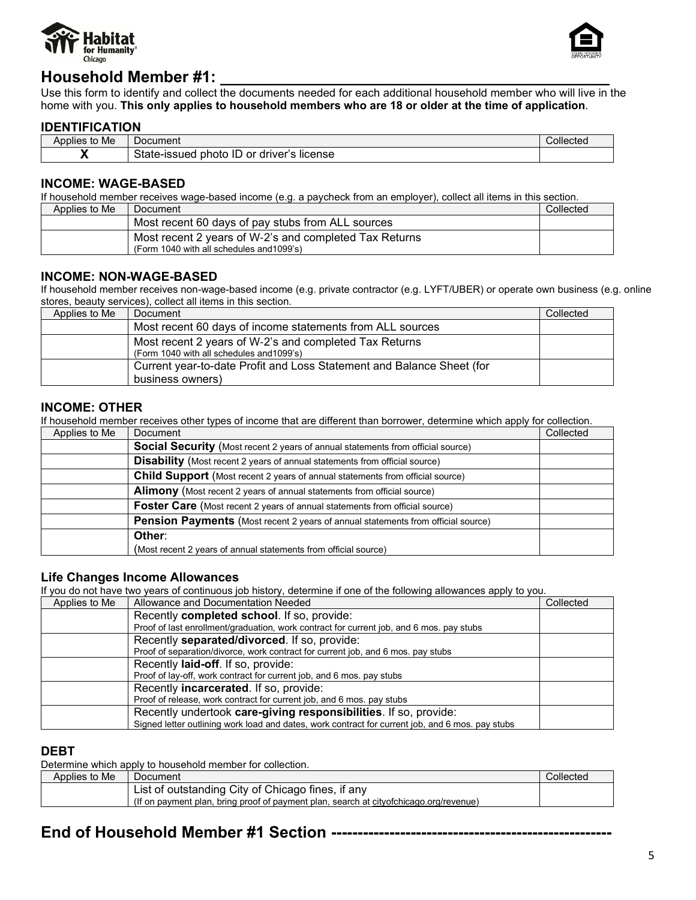



## **Household Member #1: \_\_\_\_\_\_\_\_\_\_\_\_\_\_\_\_\_\_\_\_\_\_\_\_\_\_\_\_\_\_\_\_\_\_\_\_\_\_\_\_\_\_\_\_**

Use this form to identify and collect the documents needed for each additional household member who will live in the home with you. **This only applies to household members who are 18 or older at the time of application**.

## **IDENTIFICATION**

| . .<br>$\cdot$ .<br>$\mathbf{A}$<br>to Me<br>Applies | ⊃ocument                                             | Collected |
|------------------------------------------------------|------------------------------------------------------|-----------|
|                                                      | $\sim$<br>license<br>driver′<br>photo<br>or<br>suec. |           |

### **INCOME: WAGE-BASED**

If household member receives wage-based income (e.g. a paycheck from an employer), collect all items in this section.

| Applies to Me | Document                                                                                            | Collected |
|---------------|-----------------------------------------------------------------------------------------------------|-----------|
|               | Most recent 60 days of pay stubs from ALL sources                                                   |           |
|               | Most recent 2 years of W-2's and completed Tax Returns<br>(Form 1040 with all schedules and 1099's) |           |

## **INCOME: NON-WAGE-BASED**

If household member receives non-wage-based income (e.g. private contractor (e.g. LYFT/UBER) or operate own business (e.g. online stores, beauty services), collect all items in this section.

| Applies to Me | Document                                                                                            | Collected |
|---------------|-----------------------------------------------------------------------------------------------------|-----------|
|               | Most recent 60 days of income statements from ALL sources                                           |           |
|               | Most recent 2 years of W-2's and completed Tax Returns<br>(Form 1040 with all schedules and 1099's) |           |
|               | Current year-to-date Profit and Loss Statement and Balance Sheet (for<br>business owners)           |           |

## **INCOME: OTHER**

If household member receives other types of income that are different than borrower, determine which apply for collection.

| Applies to Me | Document                                                                               | Collected |
|---------------|----------------------------------------------------------------------------------------|-----------|
|               | <b>Social Security</b> (Most recent 2 years of annual statements from official source) |           |
|               | <b>Disability</b> (Most recent 2 years of annual statements from official source)      |           |
|               | <b>Child Support</b> (Most recent 2 years of annual statements from official source)   |           |
|               | <b>Alimony</b> (Most recent 2 years of annual statements from official source)         |           |
|               | <b>Foster Care</b> (Most recent 2 years of annual statements from official source)     |           |
|               | Pension Payments (Most recent 2 years of annual statements from official source)       |           |
|               | Other:                                                                                 |           |
|               | (Most recent 2 years of annual statements from official source)                        |           |

#### **Life Changes Income Allowances**

If you do not have two years of continuous job history, determine if one of the following allowances apply to you.

| Applies to Me | Allowance and Documentation Needed                                                               | Collected |
|---------------|--------------------------------------------------------------------------------------------------|-----------|
|               | Recently completed school. If so, provide:                                                       |           |
|               | Proof of last enrollment/graduation, work contract for current job, and 6 mos. pay stubs         |           |
|               | Recently separated/divorced. If so, provide:                                                     |           |
|               | Proof of separation/divorce, work contract for current job, and 6 mos. pay stubs                 |           |
|               | Recently <b>laid-off</b> . If so, provide:                                                       |           |
|               | Proof of lay-off, work contract for current job, and 6 mos. pay stubs                            |           |
|               | Recently incarcerated. If so, provide:                                                           |           |
|               | Proof of release, work contract for current job, and 6 mos. pay stubs                            |           |
|               | Recently undertook care-giving responsibilities. If so, provide:                                 |           |
|               | Signed letter outlining work load and dates, work contract for current job, and 6 mos. pay stubs |           |

## **DEBT**

Determine which apply to household member for collection.

| Applies to Me | <b>Document</b>                                                                        | Collected |
|---------------|----------------------------------------------------------------------------------------|-----------|
|               | List of outstanding City of Chicago fines, if any                                      |           |
|               | (If on payment plan, bring proof of payment plan, search at cityofchicago.org/revenue) |           |

## **End of Household Member #1 Section -----------------------------------------------------**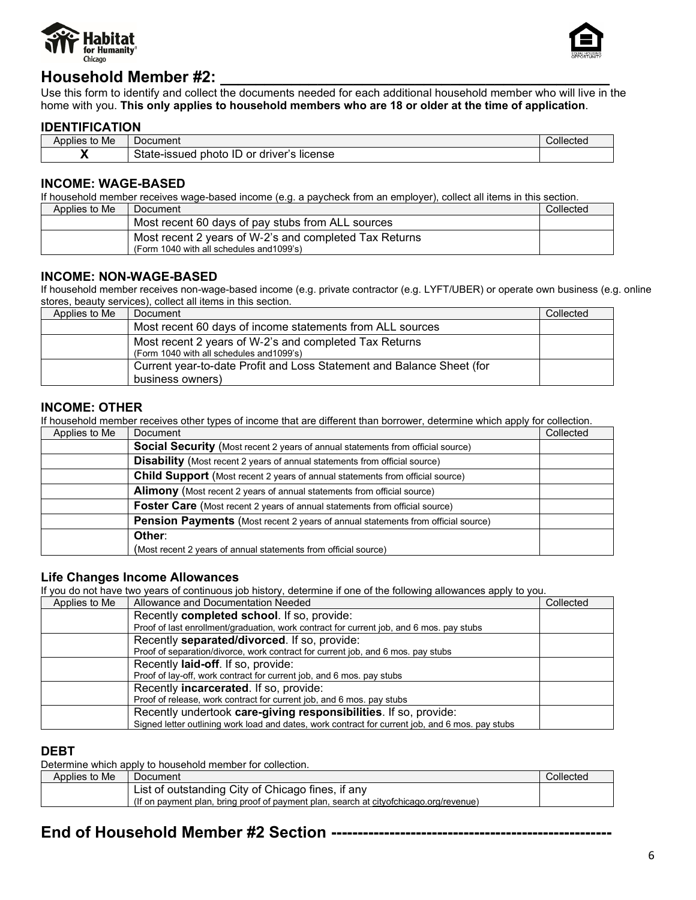



## **Household Member #2:**

Use this form to identify and collect the documents needed for each additional household member who will live in the home with you. **This only applies to household members who are 18 or older at the time of application**.

## **IDENTIFICATION**

| . .<br>$\cdot$ .<br>$\mathbf{A}$<br>to Me<br>Applies | ⊃ocument                                             | Collected |
|------------------------------------------------------|------------------------------------------------------|-----------|
|                                                      | $\sim$<br>license<br>driver′<br>photo<br>or<br>suec. |           |

### **INCOME: WAGE-BASED**

If household member receives wage-based income (e.g. a paycheck from an employer), collect all items in this section.

| Applies to Me | Document                                                                                            | Collected |
|---------------|-----------------------------------------------------------------------------------------------------|-----------|
|               | Most recent 60 days of pay stubs from ALL sources                                                   |           |
|               | Most recent 2 years of W-2's and completed Tax Returns<br>(Form 1040 with all schedules and 1099's) |           |

## **INCOME: NON-WAGE-BASED**

If household member receives non-wage-based income (e.g. private contractor (e.g. LYFT/UBER) or operate own business (e.g. online stores, beauty services), collect all items in this section.

| Applies to Me | Document                                                                                            | Collected |
|---------------|-----------------------------------------------------------------------------------------------------|-----------|
|               | Most recent 60 days of income statements from ALL sources                                           |           |
|               | Most recent 2 years of W-2's and completed Tax Returns<br>(Form 1040 with all schedules and 1099's) |           |
|               | Current year-to-date Profit and Loss Statement and Balance Sheet (for<br>business owners)           |           |

## **INCOME: OTHER**

If household member receives other types of income that are different than borrower, determine which apply for collection.

| Applies to Me | Document                                                                               | Collected |
|---------------|----------------------------------------------------------------------------------------|-----------|
|               | <b>Social Security</b> (Most recent 2 years of annual statements from official source) |           |
|               | <b>Disability</b> (Most recent 2 years of annual statements from official source)      |           |
|               | <b>Child Support</b> (Most recent 2 years of annual statements from official source)   |           |
|               | <b>Alimony</b> (Most recent 2 years of annual statements from official source)         |           |
|               | <b>Foster Care</b> (Most recent 2 years of annual statements from official source)     |           |
|               | Pension Payments (Most recent 2 years of annual statements from official source)       |           |
|               | Other:                                                                                 |           |
|               | (Most recent 2 years of annual statements from official source)                        |           |

#### **Life Changes Income Allowances**

If you do not have two years of continuous job history, determine if one of the following allowances apply to you.

| Applies to Me | Allowance and Documentation Needed                                                               | Collected |
|---------------|--------------------------------------------------------------------------------------------------|-----------|
|               | Recently completed school. If so, provide:                                                       |           |
|               | Proof of last enrollment/graduation, work contract for current job, and 6 mos. pay stubs         |           |
|               | Recently separated/divorced. If so, provide:                                                     |           |
|               | Proof of separation/divorce, work contract for current job, and 6 mos. pay stubs                 |           |
|               | Recently <b>laid-off</b> . If so, provide:                                                       |           |
|               | Proof of lay-off, work contract for current job, and 6 mos. pay stubs                            |           |
|               | Recently incarcerated. If so, provide:                                                           |           |
|               | Proof of release, work contract for current job, and 6 mos. pay stubs                            |           |
|               | Recently undertook care-giving responsibilities. If so, provide:                                 |           |
|               | Signed letter outlining work load and dates, work contract for current job, and 6 mos. pay stubs |           |

#### **DEBT**

Determine which apply to household member for collection.

| Applies to Me | <b>Document</b>                                                                        | Collected |
|---------------|----------------------------------------------------------------------------------------|-----------|
|               | List of outstanding City of Chicago fines, if any                                      |           |
|               | (If on payment plan, bring proof of payment plan, search at cityofchicago.org/revenue) |           |

## **End of Household Member #2 Section -----------------------------------------------------**